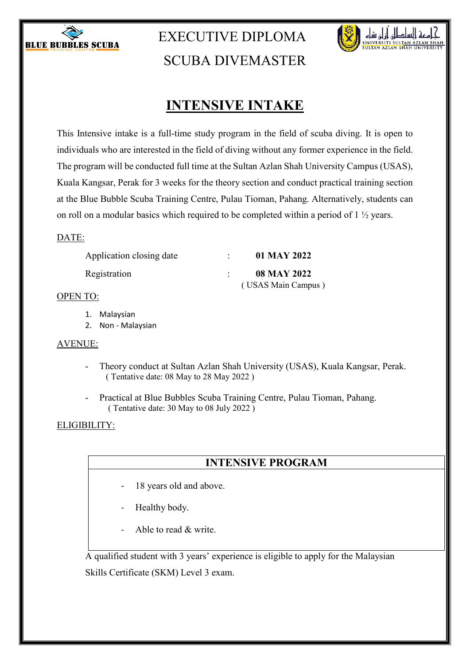

# EXECUTIVE DIPLOMA SCUBA DIVEMASTER



# **INTENSIVE INTAKE**

This Intensive intake is a full-time study program in the field of scuba diving. It is open to individuals who are interested in the field of diving without any former experience in the field. The program will be conducted full time at the Sultan Azlan Shah University Campus (USAS), Kuala Kangsar, Perak for 3 weeks for the theory section and conduct practical training section at the Blue Bubble Scuba Training Centre, Pulau Tioman, Pahang. Alternatively, students can on roll on a modular basics which required to be completed within a period of 1 ½ years.

### DATE:

| Application closing date | 01 MAY 2022        |
|--------------------------|--------------------|
| Registration             | <b>08 MAY 2022</b> |
|                          | (USAS Main Campus) |

### OPEN TO:

- 1. Malaysian
- 2. Non Malaysian

### AVENUE:

- Theory conduct at Sultan Azlan Shah University (USAS), Kuala Kangsar, Perak. ( Tentative date: 08 May to 28 May 2022 )
- Practical at Blue Bubbles Scuba Training Centre, Pulau Tioman, Pahang. ( Tentative date: 30 May to 08 July 2022 )

### ELIGIBILITY:

### **INTENSIVE PROGRAM**

- 18 years old and above.
- Healthy body.
- Able to read & write.

A qualified student with 3 years' experience is eligible to apply for the Malaysian Skills Certificate (SKM) Level 3 exam.